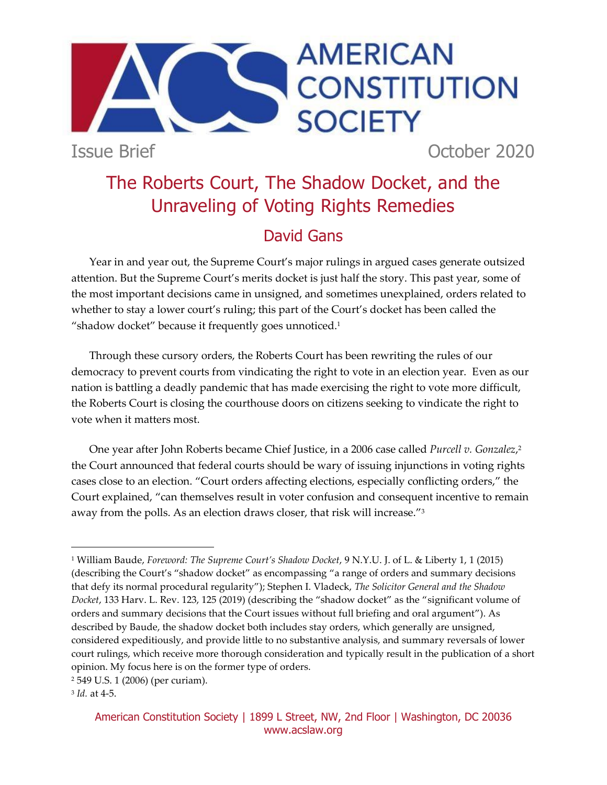Issue Brief October 2020

**SOCIETY** 

**AMERICAN** 

**CONSTITUTION** 

# The Roberts Court, The Shadow Docket, and the Unraveling of Voting Rights Remedies

# David Gans

Year in and year out, the Supreme Court's major rulings in argued cases generate outsized attention. But the Supreme Court's merits docket is just half the story. This past year, some of the most important decisions came in unsigned, and sometimes unexplained, orders related to whether to stay a lower court's ruling; this part of the Court's docket has been called the "shadow docket" because it frequently goes unnoticed.<sup>1</sup>

Through these cursory orders, the Roberts Court has been rewriting the rules of our democracy to prevent courts from vindicating the right to vote in an election year. Even as our nation is battling a deadly pandemic that has made exercising the right to vote more difficult, the Roberts Court is closing the courthouse doors on citizens seeking to vindicate the right to vote when it matters most.

One year after John Roberts became Chief Justice, in a 2006 case called *Purcell v. Gonzalez*, 2 the Court announced that federal courts should be wary of issuing injunctions in voting rights cases close to an election. "Court orders affecting elections, especially conflicting orders," the Court explained, "can themselves result in voter confusion and consequent incentive to remain away from the polls. As an election draws closer, that risk will increase."<sup>3</sup>

<sup>1</sup> William Baude, *Foreword: The Supreme Court's Shadow Docket*, 9 N.Y.U. J. of L. & Liberty 1, 1 (2015) (describing the Court's "shadow docket" as encompassing "a range of orders and summary decisions that defy its normal procedural regularity"); Stephen I. Vladeck, *The Solicitor General and the Shadow Docket*, 133 Harv. L. Rev. 123, 125 (2019) (describing the "shadow docket" as the "significant volume of orders and summary decisions that the Court issues without full briefing and oral argument"). As described by Baude, the shadow docket both includes stay orders, which generally are unsigned, considered expeditiously, and provide little to no substantive analysis, and summary reversals of lower court rulings, which receive more thorough consideration and typically result in the publication of a short opinion. My focus here is on the former type of orders.

<sup>2</sup> 549 U.S. 1 (2006) (per curiam).

<sup>3</sup> *Id.* at 4-5.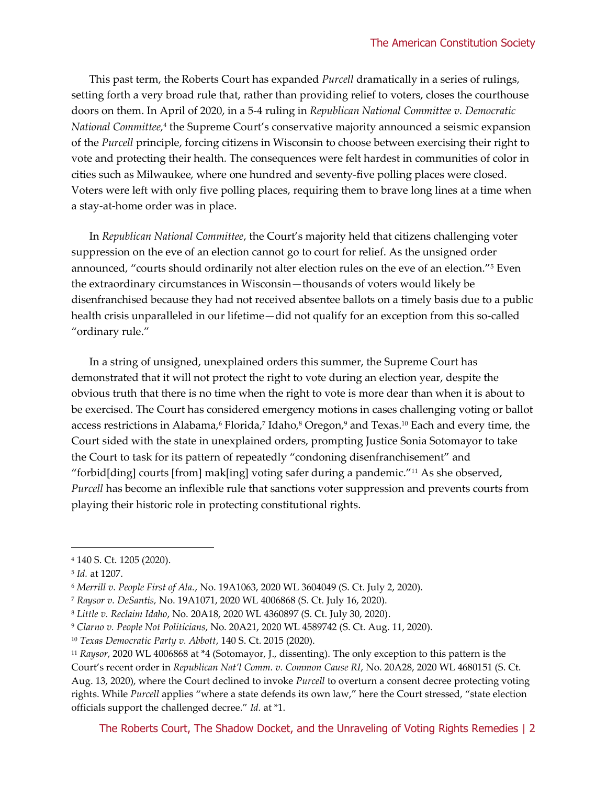This past term, the Roberts Court has expanded *Purcell* dramatically in a series of rulings, setting forth a very broad rule that, rather than providing relief to voters, closes the courthouse doors on them. In April of 2020, in a 5-4 ruling in *Republican National Committee v. Democratic National Committee,*<sup>4</sup> the Supreme Court's conservative majority announced a seismic expansion of the *Purcell* principle, forcing citizens in Wisconsin to choose between exercising their right to vote and protecting their health. The consequences were felt hardest in communities of color in cities such as Milwaukee, where one hundred and seventy-five polling places were closed. Voters were left with only five polling places, requiring them to brave long lines at a time when a stay-at-home order was in place.

In *Republican National Committee*, the Court's majority held that citizens challenging voter suppression on the eve of an election cannot go to court for relief. As the unsigned order announced, "courts should ordinarily not alter election rules on the eve of an election."<sup>5</sup> Even the extraordinary circumstances in Wisconsin—thousands of voters would likely be disenfranchised because they had not received absentee ballots on a timely basis due to a public health crisis unparalleled in our lifetime—did not qualify for an exception from this so-called "ordinary rule."

In a string of unsigned, unexplained orders this summer, the Supreme Court has demonstrated that it will not protect the right to vote during an election year, despite the obvious truth that there is no time when the right to vote is more dear than when it is about to be exercised. The Court has considered emergency motions in cases challenging voting or ballot access restrictions in Alabama,<sup>6</sup> Florida,<sup>7</sup> Idaho,<sup>8</sup> Oregon,<sup>9</sup> and Texas.<sup>10</sup> Each and every time, the Court sided with the state in unexplained orders, prompting Justice Sonia Sotomayor to take the Court to task for its pattern of repeatedly "condoning disenfranchisement" and "forbid[ding] courts [from] mak[ing] voting safer during a pandemic."<sup>11</sup> As she observed, *Purcell* has become an inflexible rule that sanctions voter suppression and prevents courts from playing their historic role in protecting constitutional rights.

<sup>4</sup> 140 S. Ct. 1205 (2020).

<sup>5</sup> *Id.* at 1207.

<sup>6</sup> *Merrill v. People First of Ala.*, No. 19A1063, 2020 WL 3604049 (S. Ct. July 2, 2020).

<sup>7</sup> *Raysor v. DeSantis,* No. 19A1071, 2020 WL 4006868 (S. Ct. July 16, 2020).

<sup>8</sup> *Little v. Reclaim Idaho*, No. 20A18, 2020 WL 4360897 (S. Ct. July 30, 2020).

<sup>9</sup> *Clarno v. People Not Politicians*, No. 20A21, 2020 WL 4589742 (S. Ct. Aug. 11, 2020).

<sup>10</sup> *Texas Democratic Party v. Abbott*, 140 S. Ct. 2015 (2020).

<sup>11</sup> *Raysor*, 2020 WL 4006868 at \*4 (Sotomayor, J., dissenting). The only exception to this pattern is the Court's recent order in *Republican Nat'l Comm. v. Common Cause RI*, No. 20A28, 2020 WL 4680151 (S. Ct. Aug. 13, 2020), where the Court declined to invoke *Purcell* to overturn a consent decree protecting voting rights. While *Purcell* applies "where a state defends its own law," here the Court stressed, "state election officials support the challenged decree." *Id.* at \*1.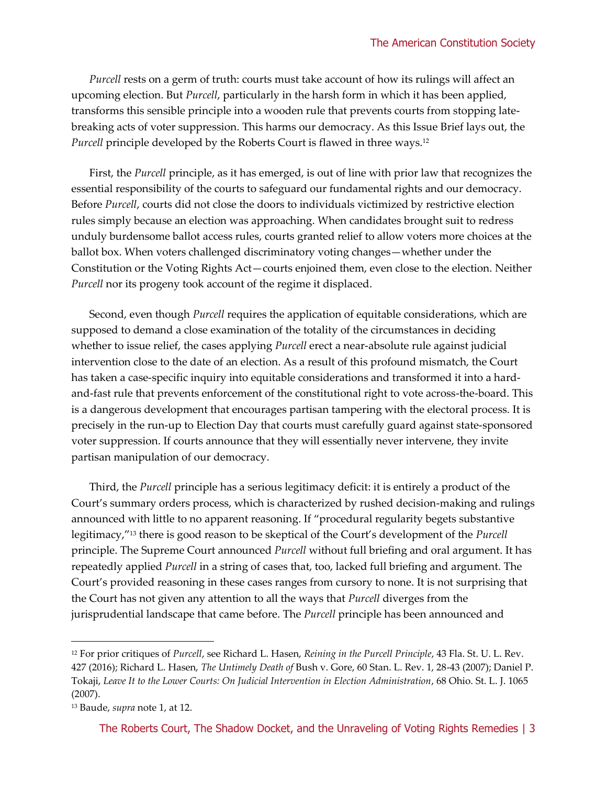*Purcell* rests on a germ of truth: courts must take account of how its rulings will affect an upcoming election. But *Purcell*, particularly in the harsh form in which it has been applied, transforms this sensible principle into a wooden rule that prevents courts from stopping latebreaking acts of voter suppression. This harms our democracy. As this Issue Brief lays out, the *Purcell* principle developed by the Roberts Court is flawed in three ways.<sup>12</sup>

First, the *Purcell* principle, as it has emerged, is out of line with prior law that recognizes the essential responsibility of the courts to safeguard our fundamental rights and our democracy. Before *Purcell*, courts did not close the doors to individuals victimized by restrictive election rules simply because an election was approaching. When candidates brought suit to redress unduly burdensome ballot access rules, courts granted relief to allow voters more choices at the ballot box. When voters challenged discriminatory voting changes—whether under the Constitution or the Voting Rights Act—courts enjoined them, even close to the election. Neither *Purcell* nor its progeny took account of the regime it displaced.

Second, even though *Purcell* requires the application of equitable considerations, which are supposed to demand a close examination of the totality of the circumstances in deciding whether to issue relief, the cases applying *Purcell* erect a near-absolute rule against judicial intervention close to the date of an election. As a result of this profound mismatch, the Court has taken a case-specific inquiry into equitable considerations and transformed it into a hardand-fast rule that prevents enforcement of the constitutional right to vote across-the-board. This is a dangerous development that encourages partisan tampering with the electoral process. It is precisely in the run-up to Election Day that courts must carefully guard against state-sponsored voter suppression. If courts announce that they will essentially never intervene, they invite partisan manipulation of our democracy.

Third, the *Purcell* principle has a serious legitimacy deficit: it is entirely a product of the Court's summary orders process, which is characterized by rushed decision-making and rulings announced with little to no apparent reasoning. If "procedural regularity begets substantive legitimacy,"<sup>13</sup> there is good reason to be skeptical of the Court's development of the *Purcell*  principle. The Supreme Court announced *Purcell* without full briefing and oral argument. It has repeatedly applied *Purcell* in a string of cases that, too, lacked full briefing and argument. The Court's provided reasoning in these cases ranges from cursory to none. It is not surprising that the Court has not given any attention to all the ways that *Purcell* diverges from the jurisprudential landscape that came before. The *Purcell* principle has been announced and

<sup>12</sup> For prior critiques of *Purcell*, see Richard L. Hasen, *Reining in the Purcell Principle*, 43 Fla. St. U. L. Rev. 427 (2016); Richard L. Hasen, *The Untimely Death of* Bush v. Gore, 60 Stan. L. Rev. 1, 28-43 (2007); Daniel P. Tokaji, *Leave It to the Lower Courts: On Judicial Intervention in Election Administration*, 68 Ohio. St. L. J. 1065 (2007).

<sup>13</sup> Baude, *supra* note 1, at 12.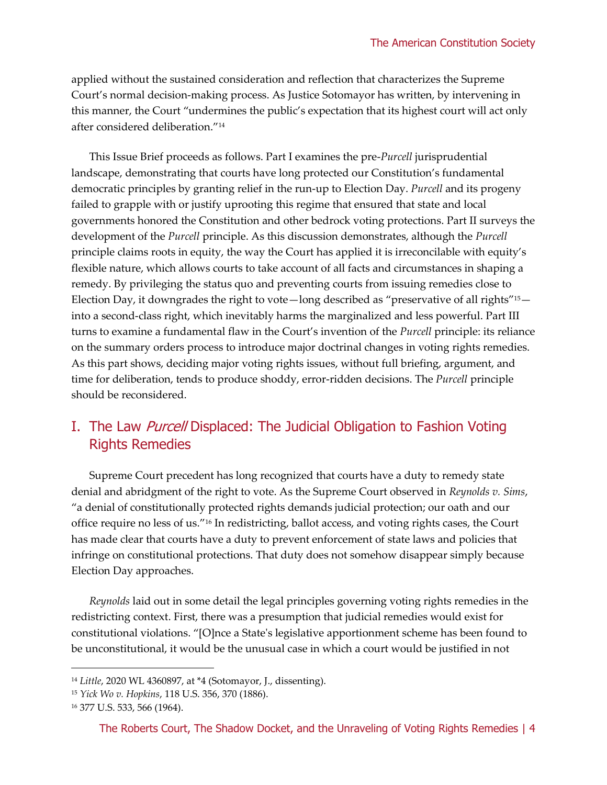applied without the sustained consideration and reflection that characterizes the Supreme Court's normal decision-making process. As Justice Sotomayor has written, by intervening in this manner, the Court "undermines the public's expectation that its highest court will act only after considered deliberation."<sup>14</sup>

This Issue Brief proceeds as follows. Part I examines the pre-*Purcell* jurisprudential landscape, demonstrating that courts have long protected our Constitution's fundamental democratic principles by granting relief in the run-up to Election Day. *Purcell* and its progeny failed to grapple with or justify uprooting this regime that ensured that state and local governments honored the Constitution and other bedrock voting protections. Part II surveys the development of the *Purcell* principle. As this discussion demonstrates, although the *Purcell* principle claims roots in equity, the way the Court has applied it is irreconcilable with equity's flexible nature, which allows courts to take account of all facts and circumstances in shaping a remedy. By privileging the status quo and preventing courts from issuing remedies close to Election Day, it downgrades the right to vote—long described as "preservative of all rights"15 into a second-class right, which inevitably harms the marginalized and less powerful. Part III turns to examine a fundamental flaw in the Court's invention of the *Purcell* principle: its reliance on the summary orders process to introduce major doctrinal changes in voting rights remedies. As this part shows, deciding major voting rights issues, without full briefing, argument, and time for deliberation, tends to produce shoddy, error-ridden decisions. The *Purcell* principle should be reconsidered.

# I. The Law Purcell Displaced: The Judicial Obligation to Fashion Voting Rights Remedies

Supreme Court precedent has long recognized that courts have a duty to remedy state denial and abridgment of the right to vote. As the Supreme Court observed in *Reynolds v. Sims*, "a denial of constitutionally protected rights demands judicial protection; our oath and our office require no less of us."<sup>16</sup> In redistricting, ballot access, and voting rights cases, the Court has made clear that courts have a duty to prevent enforcement of state laws and policies that infringe on constitutional protections. That duty does not somehow disappear simply because Election Day approaches.

*Reynolds* laid out in some detail the legal principles governing voting rights remedies in the redistricting context. First, there was a presumption that judicial remedies would exist for constitutional violations. "[O]nce a State's legislative apportionment scheme has been found to be unconstitutional, it would be the unusual case in which a court would be justified in not

<sup>14</sup> *Little*, 2020 WL 4360897, at \*4 (Sotomayor, J., dissenting).

<sup>15</sup> *Yick Wo v. Hopkins*, 118 U.S. 356, 370 (1886).

<sup>16</sup> 377 U.S. 533, 566 (1964).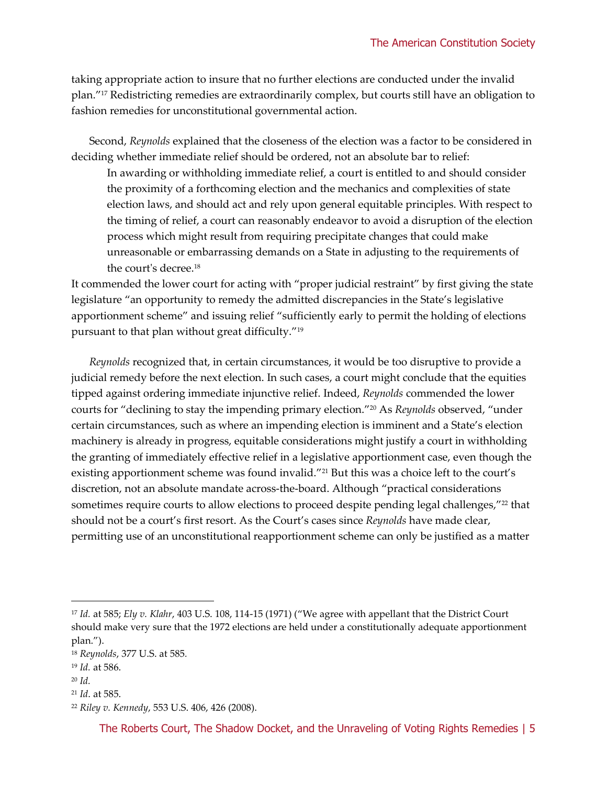taking appropriate action to insure that no further elections are conducted under the invalid plan."<sup>17</sup> Redistricting remedies are extraordinarily complex, but courts still have an obligation to fashion remedies for unconstitutional governmental action.

Second, *Reynolds* explained that the closeness of the election was a factor to be considered in deciding whether immediate relief should be ordered, not an absolute bar to relief:

In awarding or withholding immediate relief, a court is entitled to and should consider the proximity of a forthcoming election and the mechanics and complexities of state election laws, and should act and rely upon general equitable principles. With respect to the timing of relief, a court can reasonably endeavor to avoid a disruption of the election process which might result from requiring precipitate changes that could make unreasonable or embarrassing demands on a State in adjusting to the requirements of the court's decree.<sup>18</sup>

It commended the lower court for acting with "proper judicial restraint" by first giving the state legislature "an opportunity to remedy the admitted discrepancies in the State's legislative apportionment scheme" and issuing relief "sufficiently early to permit the holding of elections pursuant to that plan without great difficulty."<sup>19</sup>

*Reynolds* recognized that, in certain circumstances, it would be too disruptive to provide a judicial remedy before the next election. In such cases, a court might conclude that the equities tipped against ordering immediate injunctive relief. Indeed, *Reynolds* commended the lower courts for "declining to stay the impending primary election."<sup>20</sup> As *Reynolds* observed, "under certain circumstances, such as where an impending election is imminent and a State's election machinery is already in progress, equitable considerations might justify a court in withholding the granting of immediately effective relief in a legislative apportionment case, even though the existing apportionment scheme was found invalid."<sup>21</sup> But this was a choice left to the court's discretion, not an absolute mandate across-the-board. Although "practical considerations sometimes require courts to allow elections to proceed despite pending legal challenges,"<sup>22</sup> that should not be a court's first resort. As the Court's cases since *Reynolds* have made clear, permitting use of an unconstitutional reapportionment scheme can only be justified as a matter

<sup>17</sup> *Id.* at 585; *Ely v. Klahr*, 403 U.S. 108, 114-15 (1971) ("We agree with appellant that the District Court should make very sure that the 1972 elections are held under a constitutionally adequate apportionment plan.").

<sup>18</sup> *Reynolds*, 377 U.S. at 585*.*

<sup>19</sup> *Id.* at 586.

<sup>20</sup> *Id.*

<sup>21</sup> *Id*. at 585.

<sup>22</sup> *Riley v. Kennedy*, 553 U.S. 406, 426 (2008).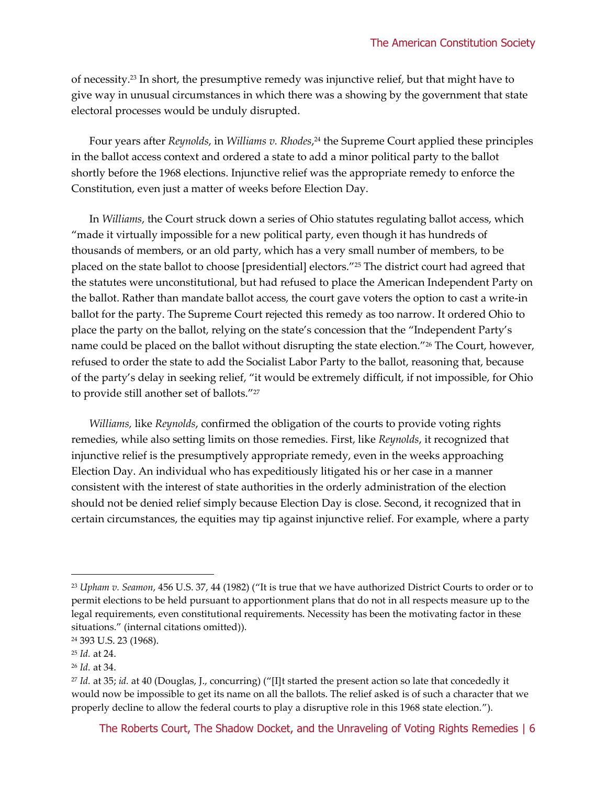of necessity.<sup>23</sup> In short, the presumptive remedy was injunctive relief, but that might have to give way in unusual circumstances in which there was a showing by the government that state electoral processes would be unduly disrupted.

Four years after *Reynolds*, in *Williams v. Rhodes*, <sup>24</sup> the Supreme Court applied these principles in the ballot access context and ordered a state to add a minor political party to the ballot shortly before the 1968 elections. Injunctive relief was the appropriate remedy to enforce the Constitution, even just a matter of weeks before Election Day.

In *Williams*, the Court struck down a series of Ohio statutes regulating ballot access, which "made it virtually impossible for a new political party, even though it has hundreds of thousands of members, or an old party, which has a very small number of members, to be placed on the state ballot to choose [presidential] electors."<sup>25</sup> The district court had agreed that the statutes were unconstitutional, but had refused to place the American Independent Party on the ballot. Rather than mandate ballot access, the court gave voters the option to cast a write-in ballot for the party. The Supreme Court rejected this remedy as too narrow. It ordered Ohio to place the party on the ballot, relying on the state's concession that the "Independent Party's name could be placed on the ballot without disrupting the state election."<sup>26</sup> The Court, however, refused to order the state to add the Socialist Labor Party to the ballot, reasoning that, because of the party's delay in seeking relief, "it would be extremely difficult, if not impossible, for Ohio to provide still another set of ballots."<sup>27</sup>

*Williams,* like *Reynolds*, confirmed the obligation of the courts to provide voting rights remedies, while also setting limits on those remedies. First, like *Reynolds*, it recognized that injunctive relief is the presumptively appropriate remedy, even in the weeks approaching Election Day. An individual who has expeditiously litigated his or her case in a manner consistent with the interest of state authorities in the orderly administration of the election should not be denied relief simply because Election Day is close. Second, it recognized that in certain circumstances, the equities may tip against injunctive relief. For example, where a party

<sup>23</sup> *Upham v. Seamon*, 456 U.S. 37, 44 (1982) ("It is true that we have authorized District Courts to order or to permit elections to be held pursuant to apportionment plans that do not in all respects measure up to the legal requirements, even constitutional requirements. Necessity has been the motivating factor in these situations." (internal citations omitted)).

<sup>24</sup> 393 U.S. 23 (1968).

<sup>25</sup> *Id.* at 24.

<sup>26</sup> *Id.* at 34.

<sup>27</sup> *Id.* at 35; *id.* at 40 (Douglas, J., concurring) ("[I]t started the present action so late that concededly it would now be impossible to get its name on all the ballots. The relief asked is of such a character that we properly decline to allow the federal courts to play a disruptive role in this 1968 state election.").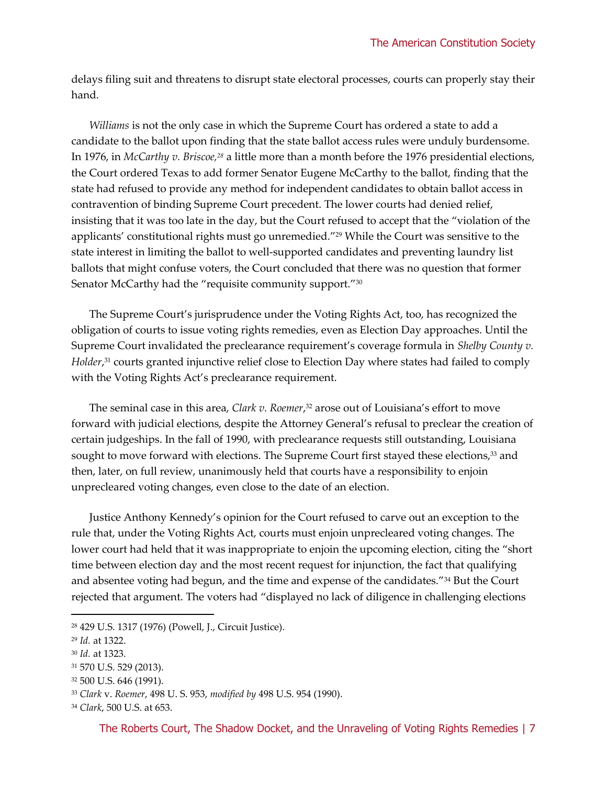delays filing suit and threatens to disrupt state electoral processes, courts can properly stay their hand.

*Williams* is not the only case in which the Supreme Court has ordered a state to add a candidate to the ballot upon finding that the state ballot access rules were unduly burdensome. In 1976, in *McCarthy v. Briscoe,<sup>28</sup>* a little more than a month before the 1976 presidential elections, the Court ordered Texas to add former Senator Eugene McCarthy to the ballot, finding that the state had refused to provide any method for independent candidates to obtain ballot access in contravention of binding Supreme Court precedent. The lower courts had denied relief, insisting that it was too late in the day, but the Court refused to accept that the "violation of the applicants' constitutional rights must go unremedied."<sup>29</sup> While the Court was sensitive to the state interest in limiting the ballot to well-supported candidates and preventing laundry list ballots that might confuse voters, the Court concluded that there was no question that former Senator McCarthy had the "requisite community support."<sup>30</sup>

The Supreme Court's jurisprudence under the Voting Rights Act, too, has recognized the obligation of courts to issue voting rights remedies, even as Election Day approaches. Until the Supreme Court invalidated the preclearance requirement's coverage formula in *Shelby County v. Holder*, <sup>31</sup> courts granted injunctive relief close to Election Day where states had failed to comply with the Voting Rights Act's preclearance requirement.

The seminal case in this area, *Clark v. Roemer*, <sup>32</sup> arose out of Louisiana's effort to move forward with judicial elections, despite the Attorney General's refusal to preclear the creation of certain judgeships. In the fall of 1990, with preclearance requests still outstanding, Louisiana sought to move forward with elections. The Supreme Court first stayed these elections,<sup>33</sup> and then, later, on full review, unanimously held that courts have a responsibility to enjoin unprecleared voting changes, even close to the date of an election.

Justice Anthony Kennedy's opinion for the Court refused to carve out an exception to the rule that, under the Voting Rights Act, courts must enjoin unprecleared voting changes. The lower court had held that it was inappropriate to enjoin the upcoming election, citing the "short time between election day and the most recent request for injunction, the fact that qualifying and absentee voting had begun, and the time and expense of the candidates."<sup>34</sup> But the Court rejected that argument. The voters had "displayed no lack of diligence in challenging elections

<sup>28</sup> 429 U.S. 1317 (1976) (Powell, J., Circuit Justice).

<sup>29</sup> *Id.* at 1322.

<sup>30</sup> *Id.* at 1323.

<sup>31</sup> 570 U.S. 529 (2013).

<sup>32</sup> 500 U.S. 646 (1991).

<sup>33</sup> *Clark* v. *Roemer*, 498 U. S. 953, *modified by* 498 U.S. 954 (1990).

<sup>34</sup> *Clark*, 500 U.S. at 653.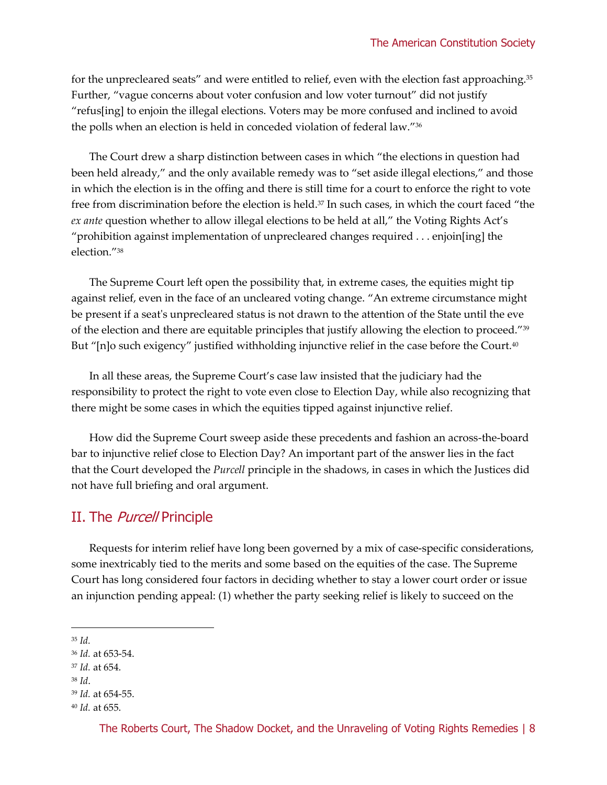for the unprecleared seats" and were entitled to relief, even with the election fast approaching.<sup>35</sup> Further, "vague concerns about voter confusion and low voter turnout" did not justify "refus[ing] to enjoin the illegal elections. Voters may be more confused and inclined to avoid the polls when an election is held in conceded violation of federal law."<sup>36</sup>

The Court drew a sharp distinction between cases in which "the elections in question had been held already," and the only available remedy was to "set aside illegal elections," and those in which the election is in the offing and there is still time for a court to enforce the right to vote free from discrimination before the election is held.<sup>37</sup> In such cases, in which the court faced "the *ex ante* question whether to allow illegal elections to be held at all," the Voting Rights Act's "prohibition against implementation of unprecleared changes required . . . enjoin[ing] the election."<sup>38</sup>

The Supreme Court left open the possibility that, in extreme cases, the equities might tip against relief, even in the face of an uncleared voting change. "An extreme circumstance might be present if a seat's unprecleared status is not drawn to the attention of the State until the eve of the election and there are equitable principles that justify allowing the election to proceed."<sup>39</sup> But "[n]o such exigency" justified withholding injunctive relief in the case before the Court.<sup>40</sup>

In all these areas, the Supreme Court's case law insisted that the judiciary had the responsibility to protect the right to vote even close to Election Day, while also recognizing that there might be some cases in which the equities tipped against injunctive relief.

How did the Supreme Court sweep aside these precedents and fashion an across-the-board bar to injunctive relief close to Election Day? An important part of the answer lies in the fact that the Court developed the *Purcell* principle in the shadows, in cases in which the Justices did not have full briefing and oral argument.

#### II. The *Purcell* Principle

Requests for interim relief have long been governed by a mix of case-specific considerations, some inextricably tied to the merits and some based on the equities of the case. The Supreme Court has long considered four factors in deciding whether to stay a lower court order or issue an injunction pending appeal: (1) whether the party seeking relief is likely to succeed on the

<sup>35</sup> *Id.*

<sup>36</sup> *Id.* at 653-54.

<sup>37</sup> *Id.* at 654.

<sup>38</sup> *Id*.

<sup>39</sup> *Id.* at 654-55.

<sup>40</sup> *Id.* at 655.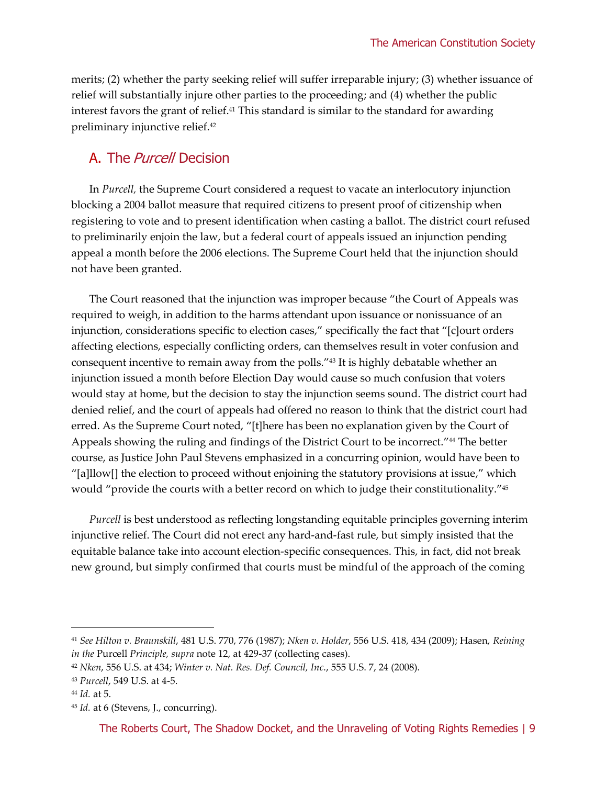merits; (2) whether the party seeking relief will suffer irreparable injury; (3) whether issuance of relief will substantially injure other parties to the proceeding; and (4) whether the public interest favors the grant of relief. <sup>41</sup> This standard is similar to the standard for awarding preliminary injunctive relief.<sup>42</sup>

#### A. The *Purcell* Decision

In *Purcell,* the Supreme Court considered a request to vacate an interlocutory injunction blocking a 2004 ballot measure that required citizens to present proof of citizenship when registering to vote and to present identification when casting a ballot. The district court refused to preliminarily enjoin the law, but a federal court of appeals issued an injunction pending appeal a month before the 2006 elections. The Supreme Court held that the injunction should not have been granted.

The Court reasoned that the injunction was improper because "the Court of Appeals was required to weigh, in addition to the harms attendant upon issuance or nonissuance of an injunction, considerations specific to election cases," specifically the fact that "[c]ourt orders affecting elections, especially conflicting orders, can themselves result in voter confusion and consequent incentive to remain away from the polls." <sup>43</sup> It is highly debatable whether an injunction issued a month before Election Day would cause so much confusion that voters would stay at home, but the decision to stay the injunction seems sound. The district court had denied relief, and the court of appeals had offered no reason to think that the district court had erred. As the Supreme Court noted, "[t]here has been no explanation given by the Court of Appeals showing the ruling and findings of the District Court to be incorrect." <sup>44</sup> The better course, as Justice John Paul Stevens emphasized in a concurring opinion, would have been to "[a]llow[] the election to proceed without enjoining the statutory provisions at issue," which would "provide the courts with a better record on which to judge their constitutionality." 45

*Purcell* is best understood as reflecting longstanding equitable principles governing interim injunctive relief. The Court did not erect any hard-and-fast rule, but simply insisted that the equitable balance take into account election-specific consequences. This, in fact, did not break new ground, but simply confirmed that courts must be mindful of the approach of the coming

<sup>41</sup> *See Hilton v. Braunskill*, 481 U.S. 770, 776 (1987); *Nken v. Holder*, 556 U.S. 418, 434 (2009); Hasen, *Reining in the* Purcell *Principle, supra* note 12, at 429-37 (collecting cases).

<sup>42</sup> *Nken*, 556 U.S. at 434; *Winter v. Nat. Res. Def. Council, Inc.*, 555 U.S. 7, 24 (2008).

<sup>43</sup> *Purcell*, 549 U.S. at 4-5.

<sup>44</sup> *Id.* at 5.

<sup>45</sup> *Id.* at 6 (Stevens, J., concurring).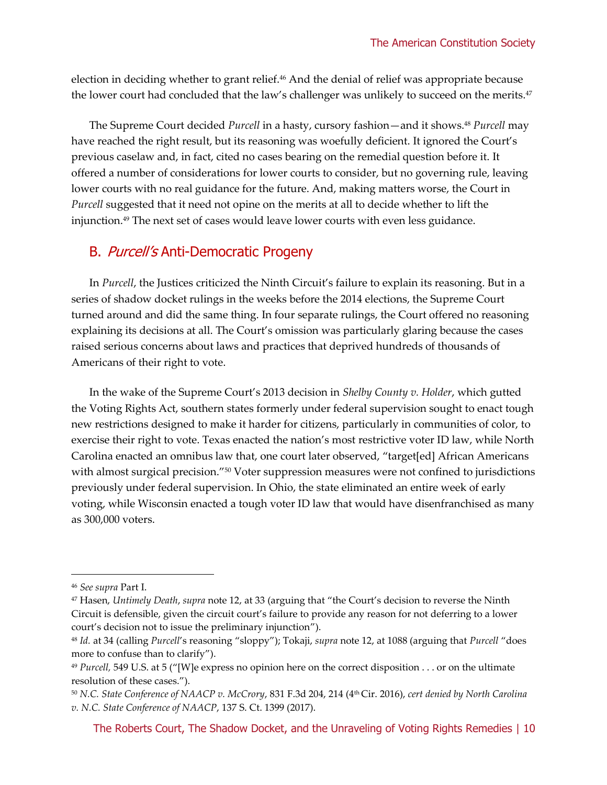election in deciding whether to grant relief.<sup>46</sup> And the denial of relief was appropriate because the lower court had concluded that the law's challenger was unlikely to succeed on the merits.<sup>47</sup>

The Supreme Court decided *Purcell* in a hasty, cursory fashion—and it shows.<sup>48</sup> *Purcell* may have reached the right result, but its reasoning was woefully deficient. It ignored the Court's previous caselaw and, in fact, cited no cases bearing on the remedial question before it. It offered a number of considerations for lower courts to consider, but no governing rule, leaving lower courts with no real guidance for the future. And, making matters worse, the Court in *Purcell* suggested that it need not opine on the merits at all to decide whether to lift the injunction.<sup>49</sup> The next set of cases would leave lower courts with even less guidance.

#### B. Purcell's Anti-Democratic Progeny

In *Purcell*, the Justices criticized the Ninth Circuit's failure to explain its reasoning. But in a series of shadow docket rulings in the weeks before the 2014 elections, the Supreme Court turned around and did the same thing. In four separate rulings, the Court offered no reasoning explaining its decisions at all. The Court's omission was particularly glaring because the cases raised serious concerns about laws and practices that deprived hundreds of thousands of Americans of their right to vote.

In the wake of the Supreme Court's 2013 decision in *Shelby County v. Holder*, which gutted the Voting Rights Act, southern states formerly under federal supervision sought to enact tough new restrictions designed to make it harder for citizens, particularly in communities of color, to exercise their right to vote. Texas enacted the nation's most restrictive voter ID law, while North Carolina enacted an omnibus law that, one court later observed, "target[ed] African Americans with almost surgical precision."<sup>50</sup> Voter suppression measures were not confined to jurisdictions previously under federal supervision. In Ohio, the state eliminated an entire week of early voting, while Wisconsin enacted a tough voter ID law that would have disenfranchised as many as 300,000 voters.

<sup>46</sup> *See supra* Part I.

<sup>47</sup> Hasen, *Untimely Death*, *supra* note 12, at 33 (arguing that "the Court's decision to reverse the Ninth Circuit is defensible, given the circuit court's failure to provide any reason for not deferring to a lower court's decision not to issue the preliminary injunction").

<sup>48</sup> *Id.* at 34 (calling *Purcell*'s reasoning "sloppy"); Tokaji, *supra* note 12, at 1088 (arguing that *Purcell* "does more to confuse than to clarify").

<sup>49</sup> *Purcell,* 549 U.S. at 5 ("[W]e express no opinion here on the correct disposition . . . or on the ultimate resolution of these cases.").

<sup>50</sup> *N.C. State Conference of NAACP v. McCrory*, 831 F.3d 204, 214 (4th Cir. 2016), *cert denied by North Carolina v. N.C. State Conference of NAACP*, 137 S. Ct. 1399 (2017).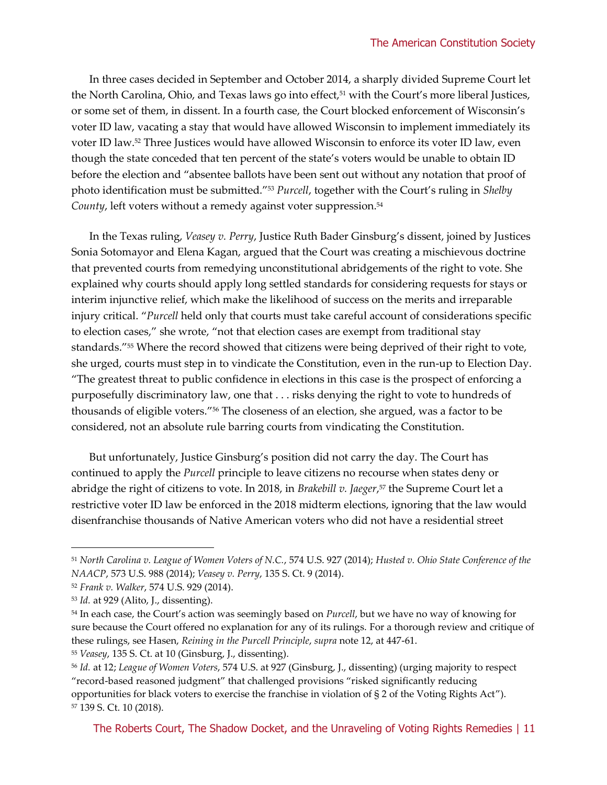In three cases decided in September and October 2014, a sharply divided Supreme Court let the North Carolina, Ohio, and Texas laws go into effect,<sup>51</sup> with the Court's more liberal Justices, or some set of them, in dissent. In a fourth case, the Court blocked enforcement of Wisconsin's voter ID law, vacating a stay that would have allowed Wisconsin to implement immediately its voter ID law. <sup>52</sup> Three Justices would have allowed Wisconsin to enforce its voter ID law, even though the state conceded that ten percent of the state's voters would be unable to obtain ID before the election and "absentee ballots have been sent out without any notation that proof of photo identification must be submitted."<sup>53</sup> *Purcell*, together with the Court's ruling in *Shelby County*, left voters without a remedy against voter suppression.<sup>54</sup>

In the Texas ruling, *Veasey v. Perry*, Justice Ruth Bader Ginsburg's dissent, joined by Justices Sonia Sotomayor and Elena Kagan, argued that the Court was creating a mischievous doctrine that prevented courts from remedying unconstitutional abridgements of the right to vote. She explained why courts should apply long settled standards for considering requests for stays or interim injunctive relief, which make the likelihood of success on the merits and irreparable injury critical. "*Purcell* held only that courts must take careful account of considerations specific to election cases," she wrote, "not that election cases are exempt from traditional stay standards." <sup>55</sup> Where the record showed that citizens were being deprived of their right to vote, she urged, courts must step in to vindicate the Constitution, even in the run-up to Election Day. "The greatest threat to public confidence in elections in this case is the prospect of enforcing a purposefully discriminatory law, one that . . . risks denying the right to vote to hundreds of thousands of eligible voters."<sup>56</sup> The closeness of an election, she argued, was a factor to be considered, not an absolute rule barring courts from vindicating the Constitution.

But unfortunately, Justice Ginsburg's position did not carry the day. The Court has continued to apply the *Purcell* principle to leave citizens no recourse when states deny or abridge the right of citizens to vote. In 2018, in *Brakebill v. Jaeger*, <sup>57</sup> the Supreme Court let a restrictive voter ID law be enforced in the 2018 midterm elections, ignoring that the law would disenfranchise thousands of Native American voters who did not have a residential street

<sup>51</sup> *North Carolina v. League of Women Voters of N.C.*, 574 U.S. 927 (2014); *Husted v. Ohio State Conference of the NAACP*, 573 U.S. 988 (2014); *Veasey v. Perry*, 135 S. Ct. 9 (2014).

<sup>52</sup> *Frank v. Walker*, 574 U.S. 929 (2014).

<sup>53</sup> *Id.* at 929 (Alito, J., dissenting).

<sup>54</sup> In each case, the Court's action was seemingly based on *Purcell*, but we have no way of knowing for sure because the Court offered no explanation for any of its rulings. For a thorough review and critique of these rulings, see Hasen, *Reining in the Purcell Principle*, *supra* note 12, at 447-61.

<sup>55</sup> *Veasey*, 135 S. Ct. at 10 (Ginsburg, J., dissenting).

<sup>56</sup> *Id.* at 12; *League of Women Voters*, 574 U.S. at 927 (Ginsburg, J., dissenting) (urging majority to respect "record-based reasoned judgment" that challenged provisions "risked significantly reducing opportunities for black voters to exercise the franchise in violation of § 2 of the Voting Rights Act"). <sup>57</sup> 139 S. Ct. 10 (2018).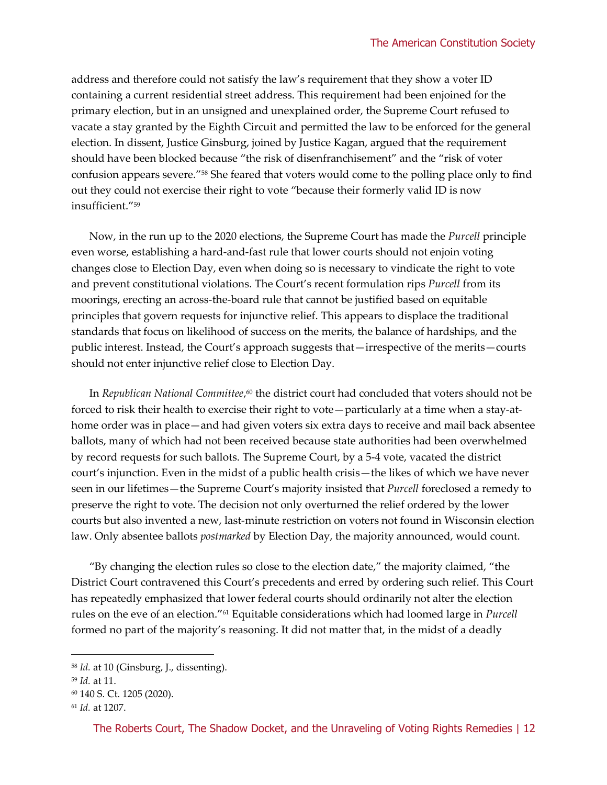address and therefore could not satisfy the law's requirement that they show a voter ID containing a current residential street address. This requirement had been enjoined for the primary election, but in an unsigned and unexplained order, the Supreme Court refused to vacate a stay granted by the Eighth Circuit and permitted the law to be enforced for the general election. In dissent, Justice Ginsburg, joined by Justice Kagan, argued that the requirement should have been blocked because "the risk of disenfranchisement" and the "risk of voter confusion appears severe."<sup>58</sup> She feared that voters would come to the polling place only to find out they could not exercise their right to vote "because their formerly valid ID is now insufficient."<sup>59</sup>

Now, in the run up to the 2020 elections, the Supreme Court has made the *Purcell* principle even worse, establishing a hard-and-fast rule that lower courts should not enjoin voting changes close to Election Day, even when doing so is necessary to vindicate the right to vote and prevent constitutional violations. The Court's recent formulation rips *Purcell* from its moorings, erecting an across-the-board rule that cannot be justified based on equitable principles that govern requests for injunctive relief. This appears to displace the traditional standards that focus on likelihood of success on the merits, the balance of hardships, and the public interest. Instead, the Court's approach suggests that—irrespective of the merits—courts should not enter injunctive relief close to Election Day.

In *Republican National Committee*, <sup>60</sup> the district court had concluded that voters should not be forced to risk their health to exercise their right to vote—particularly at a time when a stay-athome order was in place—and had given voters six extra days to receive and mail back absentee ballots, many of which had not been received because state authorities had been overwhelmed by record requests for such ballots. The Supreme Court, by a 5-4 vote, vacated the district court's injunction. Even in the midst of a public health crisis—the likes of which we have never seen in our lifetimes—the Supreme Court's majority insisted that *Purcell* foreclosed a remedy to preserve the right to vote. The decision not only overturned the relief ordered by the lower courts but also invented a new, last-minute restriction on voters not found in Wisconsin election law. Only absentee ballots *postmarked* by Election Day, the majority announced, would count.

"By changing the election rules so close to the election date," the majority claimed, "the District Court contravened this Court's precedents and erred by ordering such relief. This Court has repeatedly emphasized that lower federal courts should ordinarily not alter the election rules on the eve of an election." <sup>61</sup> Equitable considerations which had loomed large in *Purcell* formed no part of the majority's reasoning. It did not matter that, in the midst of a deadly

<sup>58</sup> *Id.* at 10 (Ginsburg, J., dissenting).

<sup>59</sup> *Id.* at 11.

<sup>60</sup> 140 S. Ct. 1205 (2020).

<sup>61</sup> *Id.* at 1207.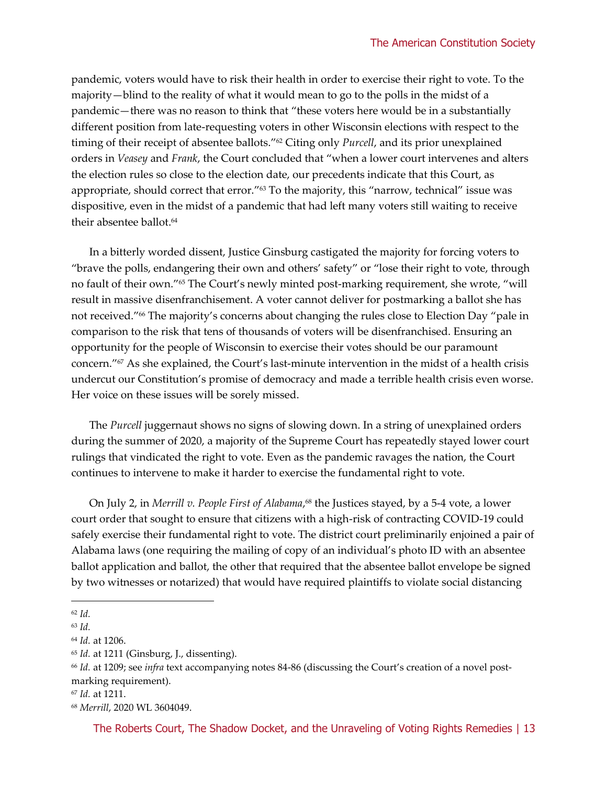pandemic, voters would have to risk their health in order to exercise their right to vote. To the majority—blind to the reality of what it would mean to go to the polls in the midst of a pandemic—there was no reason to think that "these voters here would be in a substantially different position from late-requesting voters in other Wisconsin elections with respect to the timing of their receipt of absentee ballots."<sup>62</sup> Citing only *Purcell*, and its prior unexplained orders in *Veasey* and *Frank*, the Court concluded that "when a lower court intervenes and alters the election rules so close to the election date, our precedents indicate that this Court, as appropriate, should correct that error."<sup>63</sup> To the majority, this "narrow, technical" issue was dispositive, even in the midst of a pandemic that had left many voters still waiting to receive their absentee ballot. 64

In a bitterly worded dissent, Justice Ginsburg castigated the majority for forcing voters to "brave the polls, endangering their own and others' safety" or "lose their right to vote, through no fault of their own."<sup>65</sup> The Court's newly minted post-marking requirement, she wrote, "will result in massive disenfranchisement. A voter cannot deliver for postmarking a ballot she has not received." <sup>66</sup> The majority's concerns about changing the rules close to Election Day "pale in comparison to the risk that tens of thousands of voters will be disenfranchised. Ensuring an opportunity for the people of Wisconsin to exercise their votes should be our paramount concern."<sup>67</sup> As she explained, the Court's last-minute intervention in the midst of a health crisis undercut our Constitution's promise of democracy and made a terrible health crisis even worse. Her voice on these issues will be sorely missed.

The *Purcell* juggernaut shows no signs of slowing down. In a string of unexplained orders during the summer of 2020, a majority of the Supreme Court has repeatedly stayed lower court rulings that vindicated the right to vote. Even as the pandemic ravages the nation, the Court continues to intervene to make it harder to exercise the fundamental right to vote.

On July 2, in *Merrill v. People First of Alabama*, <sup>68</sup> the Justices stayed, by a 5-4 vote, a lower court order that sought to ensure that citizens with a high-risk of contracting COVID-19 could safely exercise their fundamental right to vote. The district court preliminarily enjoined a pair of Alabama laws (one requiring the mailing of copy of an individual's photo ID with an absentee ballot application and ballot, the other that required that the absentee ballot envelope be signed by two witnesses or notarized) that would have required plaintiffs to violate social distancing

<sup>62</sup> *Id.*

<sup>63</sup> *Id.*

<sup>64</sup> *Id.* at 1206.

<sup>65</sup> *Id.* at 1211 (Ginsburg, J., dissenting).

<sup>66</sup> *Id.* at 1209; see *infra* text accompanying notes 84-86 (discussing the Court's creation of a novel postmarking requirement).

<sup>67</sup> *Id.* at 1211.

<sup>68</sup> *Merrill*, 2020 WL 3604049.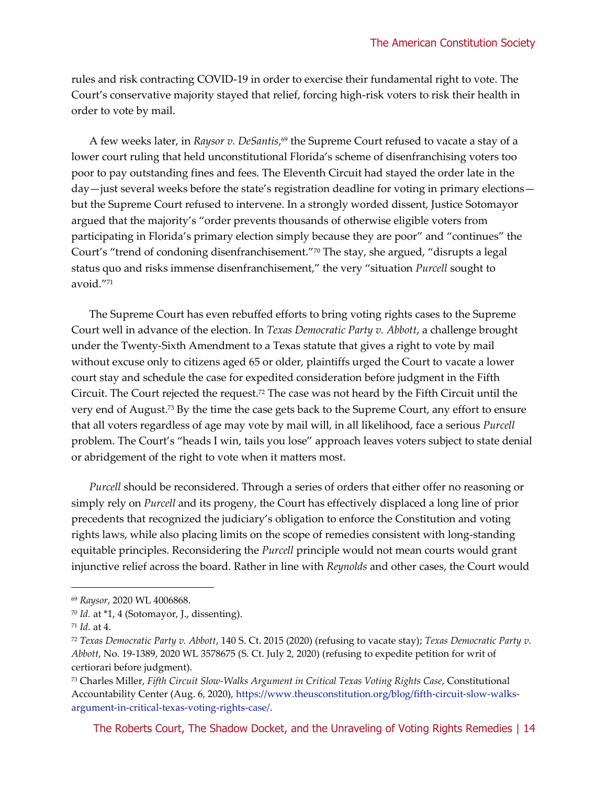rules and risk contracting COVID-19 in order to exercise their fundamental right to vote. The Court's conservative majority stayed that relief, forcing high-risk voters to risk their health in order to vote by mail.

A few weeks later, in *Raysor v. DeSantis*, <sup>69</sup> the Supreme Court refused to vacate a stay of a lower court ruling that held unconstitutional Florida's scheme of disenfranchising voters too poor to pay outstanding fines and fees. The Eleventh Circuit had stayed the order late in the day—just several weeks before the state's registration deadline for voting in primary elections but the Supreme Court refused to intervene. In a strongly worded dissent, Justice Sotomayor argued that the majority's "order prevents thousands of otherwise eligible voters from participating in Florida's primary election simply because they are poor" and "continues" the Court's "trend of condoning disenfranchisement."<sup>70</sup> The stay, she argued, "disrupts a legal status quo and risks immense disenfranchisement," the very "situation *Purcell* sought to avoid."<sup>71</sup>

The Supreme Court has even rebuffed efforts to bring voting rights cases to the Supreme Court well in advance of the election. In *Texas Democratic Party v. Abbott*, a challenge brought under the Twenty-Sixth Amendment to a Texas statute that gives a right to vote by mail without excuse only to citizens aged 65 or older, plaintiffs urged the Court to vacate a lower court stay and schedule the case for expedited consideration before judgment in the Fifth Circuit. The Court rejected the request.<sup>72</sup> The case was not heard by the Fifth Circuit until the very end of August.<sup>73</sup> By the time the case gets back to the Supreme Court, any effort to ensure that all voters regardless of age may vote by mail will, in all likelihood, face a serious *Purcell* problem. The Court's "heads I win, tails you lose" approach leaves voters subject to state denial or abridgement of the right to vote when it matters most.

*Purcell* should be reconsidered. Through a series of orders that either offer no reasoning or simply rely on *Purcell* and its progeny, the Court has effectively displaced a long line of prior precedents that recognized the judiciary's obligation to enforce the Constitution and voting rights laws, while also placing limits on the scope of remedies consistent with long-standing equitable principles. Reconsidering the *Purcell* principle would not mean courts would grant injunctive relief across the board. Rather in line with *Reynolds* and other cases, the Court would

<sup>69</sup> *Raysor*, 2020 WL 4006868.

<sup>70</sup> *Id.* at \*1, 4 (Sotomayor, J., dissenting).

<sup>71</sup> *Id.* at 4.

<sup>72</sup> *Texas Democratic Party v. Abbott*, 140 S. Ct. 2015 (2020) (refusing to vacate stay); *Texas Democratic Party v. Abbott*, No. 19-1389, 2020 WL 3578675 (S. Ct. July 2, 2020) (refusing to expedite petition for writ of certiorari before judgment).

<sup>73</sup> Charles Miller, *Fifth Circuit Slow-Walks Argument in Critical Texas Voting Rights Case*, Constitutional Accountability Center (Aug. 6, 2020), [https://www.theusconstitution.org/blog/fifth-circuit-slow-walks](https://www.theusconstitution.org/blog/fifth-circuit-slow-walks-argument-in-critical-texas-voting-rights-case/)[argument-in-critical-texas-voting-rights-case/.](https://www.theusconstitution.org/blog/fifth-circuit-slow-walks-argument-in-critical-texas-voting-rights-case/)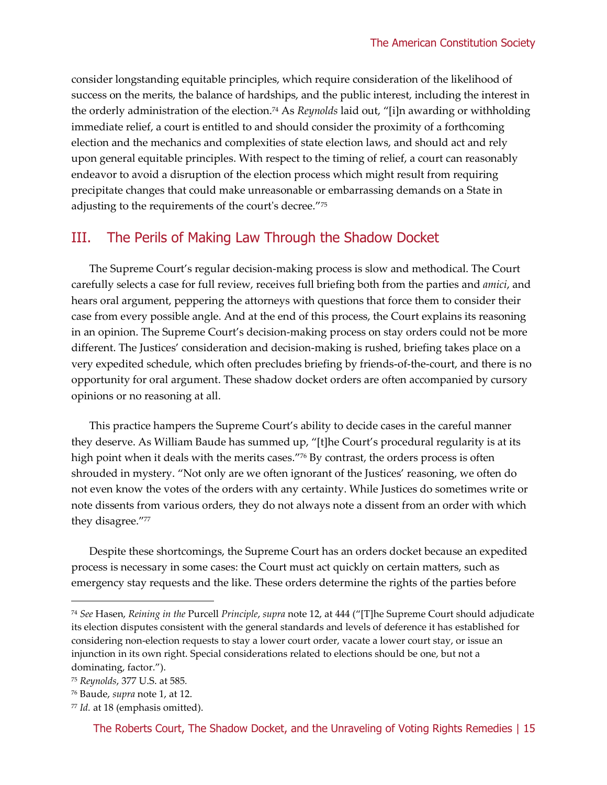consider longstanding equitable principles, which require consideration of the likelihood of success on the merits, the balance of hardships, and the public interest, including the interest in the orderly administration of the election.<sup>74</sup> As *Reynolds* laid out, "[i]n awarding or withholding immediate relief, a court is entitled to and should consider the proximity of a forthcoming election and the mechanics and complexities of state election laws, and should act and rely upon general equitable principles. With respect to the timing of relief, a court can reasonably endeavor to avoid a disruption of the election process which might result from requiring precipitate changes that could make unreasonable or embarrassing demands on a State in adjusting to the requirements of the court's decree."<sup>75</sup>

#### III. The Perils of Making Law Through the Shadow Docket

The Supreme Court's regular decision-making process is slow and methodical. The Court carefully selects a case for full review, receives full briefing both from the parties and *amici*, and hears oral argument, peppering the attorneys with questions that force them to consider their case from every possible angle. And at the end of this process, the Court explains its reasoning in an opinion. The Supreme Court's decision-making process on stay orders could not be more different. The Justices' consideration and decision-making is rushed, briefing takes place on a very expedited schedule, which often precludes briefing by friends-of-the-court, and there is no opportunity for oral argument. These shadow docket orders are often accompanied by cursory opinions or no reasoning at all.

This practice hampers the Supreme Court's ability to decide cases in the careful manner they deserve. As William Baude has summed up, "[t]he Court's procedural regularity is at its high point when it deals with the merits cases."76 By contrast, the orders process is often shrouded in mystery. "Not only are we often ignorant of the Justices' reasoning, we often do not even know the votes of the orders with any certainty. While Justices do sometimes write or note dissents from various orders, they do not always note a dissent from an order with which they disagree." 77

Despite these shortcomings, the Supreme Court has an orders docket because an expedited process is necessary in some cases: the Court must act quickly on certain matters, such as emergency stay requests and the like. These orders determine the rights of the parties before

<sup>74</sup> *See* Hasen, *Reining in the* Purcell *Principle*, *supra* note 12, at 444 ("[T]he Supreme Court should adjudicate its election disputes consistent with the general standards and levels of deference it has established for considering non-election requests to stay a lower court order, vacate a lower court stay, or issue an injunction in its own right. Special considerations related to elections should be one, but not a dominating, factor.").

<sup>75</sup> *Reynolds*, 377 U.S. at 585*.*

<sup>76</sup> Baude, *supra* note 1, at 12.

<sup>77</sup> *Id.* at 18 (emphasis omitted).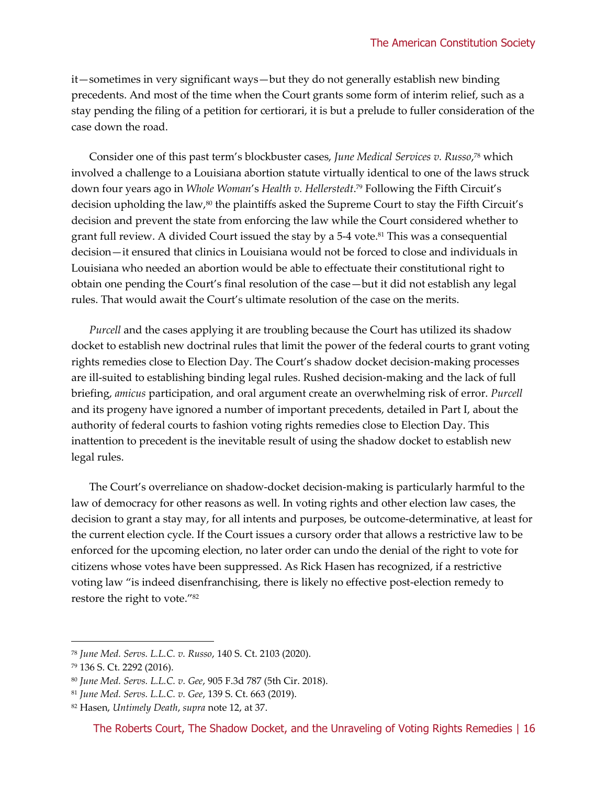it—sometimes in very significant ways—but they do not generally establish new binding precedents. And most of the time when the Court grants some form of interim relief, such as a stay pending the filing of a petition for certiorari, it is but a prelude to fuller consideration of the case down the road.

Consider one of this past term's blockbuster cases, *June Medical Services v. Russo*, <sup>78</sup> which involved a challenge to a Louisiana abortion statute virtually identical to one of the laws struck down four years ago in *Whole Woman*'s *Health v. Hellerstedt*. <sup>79</sup> Following the Fifth Circuit's decision upholding the law,<sup>80</sup> the plaintiffs asked the Supreme Court to stay the Fifth Circuit's decision and prevent the state from enforcing the law while the Court considered whether to grant full review. A divided Court issued the stay by a 5-4 vote.<sup>81</sup> This was a consequential decision—it ensured that clinics in Louisiana would not be forced to close and individuals in Louisiana who needed an abortion would be able to effectuate their constitutional right to obtain one pending the Court's final resolution of the case—but it did not establish any legal rules. That would await the Court's ultimate resolution of the case on the merits.

*Purcell* and the cases applying it are troubling because the Court has utilized its shadow docket to establish new doctrinal rules that limit the power of the federal courts to grant voting rights remedies close to Election Day. The Court's shadow docket decision-making processes are ill-suited to establishing binding legal rules. Rushed decision-making and the lack of full briefing, *amicus* participation, and oral argument create an overwhelming risk of error. *Purcell*  and its progeny have ignored a number of important precedents, detailed in Part I, about the authority of federal courts to fashion voting rights remedies close to Election Day. This inattention to precedent is the inevitable result of using the shadow docket to establish new legal rules.

The Court's overreliance on shadow-docket decision-making is particularly harmful to the law of democracy for other reasons as well. In voting rights and other election law cases, the decision to grant a stay may, for all intents and purposes, be outcome-determinative, at least for the current election cycle. If the Court issues a cursory order that allows a restrictive law to be enforced for the upcoming election, no later order can undo the denial of the right to vote for citizens whose votes have been suppressed. As Rick Hasen has recognized, if a restrictive voting law "is indeed disenfranchising, there is likely no effective post-election remedy to restore the right to vote."<sup>82</sup>

<sup>78</sup> *June Med. Servs. L.L.C. v. Russo*, 140 S. Ct. 2103 (2020).

<sup>79</sup> 136 S. Ct. 2292 (2016).

<sup>80</sup> *June Med. Servs. L.L.C. v. Gee*, 905 F.3d 787 (5th Cir. 2018).

<sup>81</sup> *June Med. Servs. L.L.C. v. Gee*, 139 S. Ct. 663 (2019).

<sup>82</sup> Hasen, *Untimely Death*, *supra* note 12, at 37.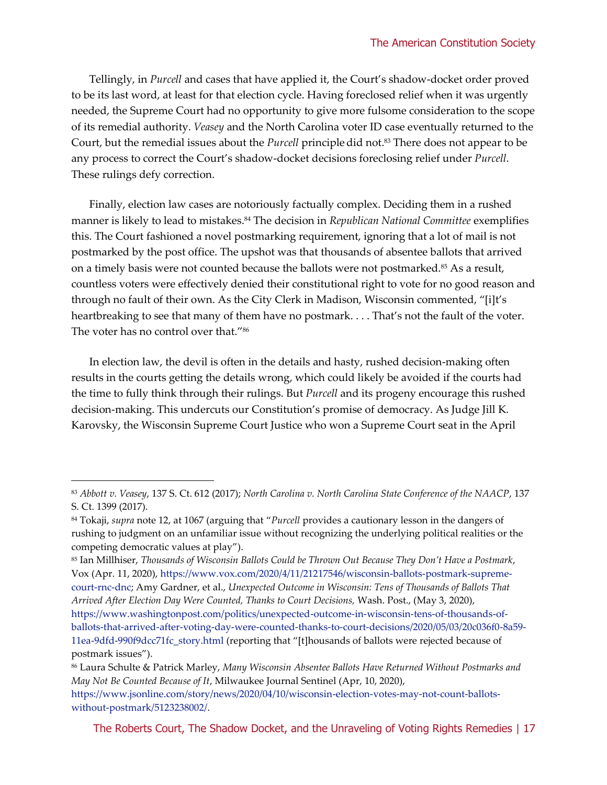Tellingly, in *Purcell* and cases that have applied it, the Court's shadow-docket order proved to be its last word, at least for that election cycle. Having foreclosed relief when it was urgently needed, the Supreme Court had no opportunity to give more fulsome consideration to the scope of its remedial authority. *Veasey* and the North Carolina voter ID case eventually returned to the Court, but the remedial issues about the *Purcell* principle did not.<sup>83</sup> There does not appear to be any process to correct the Court's shadow-docket decisions foreclosing relief under *Purcell*. These rulings defy correction.

Finally, election law cases are notoriously factually complex. Deciding them in a rushed manner is likely to lead to mistakes.<sup>84</sup> The decision in *Republican National Committee* exemplifies this. The Court fashioned a novel postmarking requirement, ignoring that a lot of mail is not postmarked by the post office. The upshot was that thousands of absentee ballots that arrived on a timely basis were not counted because the ballots were not postmarked.<sup>85</sup> As a result, countless voters were effectively denied their constitutional right to vote for no good reason and through no fault of their own. As the City Clerk in Madison, Wisconsin commented, "[i]t's heartbreaking to see that many of them have no postmark. . . . That's not the fault of the voter. The voter has no control over that."<sup>86</sup>

In election law, the devil is often in the details and hasty, rushed decision-making often results in the courts getting the details wrong, which could likely be avoided if the courts had the time to fully think through their rulings. But *Purcell* and its progeny encourage this rushed decision-making. This undercuts our Constitution's promise of democracy. As Judge Jill K. Karovsky, the Wisconsin Supreme Court Justice who won a Supreme Court seat in the April

<sup>83</sup> *Abbott v. Veasey*, 137 S. Ct. 612 (2017); *North Carolina v. North Carolina State Conference of the NAACP*, 137 S. Ct. 1399 (2017).

<sup>84</sup> Tokaji, *supra* note 12, at 1067 (arguing that "*Purcell* provides a cautionary lesson in the dangers of rushing to judgment on an unfamiliar issue without recognizing the underlying political realities or the competing democratic values at play").

<sup>85</sup> Ian Millhiser, *Thousands of Wisconsin Ballots Could be Thrown Out Because They Don't Have a Postmark*, Vox (Apr. 11, 2020)[, https://www.vox.com/2020/4/11/21217546/wisconsin-ballots-postmark-supreme](https://www.vox.com/2020/4/11/21217546/wisconsin-ballots-postmark-supreme-court-rnc-dnc)[court-rnc-dnc;](https://www.vox.com/2020/4/11/21217546/wisconsin-ballots-postmark-supreme-court-rnc-dnc) Amy Gardner, et al., *Unexpected Outcome in Wisconsin: Tens of Thousands of Ballots That Arrived After Election Day Were Counted, Thanks to Court Decisions,* Wash. Post., (May 3, 2020), [https://www.washingtonpost.com/politics/unexpected-outcome-in-wisconsin-tens-of-thousands-of-](https://www.washingtonpost.com/politics/unexpected-outcome-in-wisconsin-tens-of-thousands-of-ballots-that-arrived-after-voting-day-were-counted-thanks-to-court-decisions/2020/05/03/20c036f0-8a59-11ea-9dfd-990f9dcc71fc_story.html)

[ballots-that-arrived-after-voting-day-were-counted-thanks-to-court-decisions/2020/05/03/20c036f0-8a59-](https://www.washingtonpost.com/politics/unexpected-outcome-in-wisconsin-tens-of-thousands-of-ballots-that-arrived-after-voting-day-were-counted-thanks-to-court-decisions/2020/05/03/20c036f0-8a59-11ea-9dfd-990f9dcc71fc_story.html) [11ea-9dfd-990f9dcc71fc\\_story.html](https://www.washingtonpost.com/politics/unexpected-outcome-in-wisconsin-tens-of-thousands-of-ballots-that-arrived-after-voting-day-were-counted-thanks-to-court-decisions/2020/05/03/20c036f0-8a59-11ea-9dfd-990f9dcc71fc_story.html) (reporting that "[t]housands of ballots were rejected because of postmark issues").

<sup>86</sup> Laura Schulte & Patrick Marley, *Many Wisconsin Absentee Ballots Have Returned Without Postmarks and May Not Be Counted Because of It*, Milwaukee Journal Sentinel (Apr, 10, 2020),

[https://www.jsonline.com/story/news/2020/04/10/wisconsin-election-votes-may-not-count-ballots](https://www.jsonline.com/story/news/2020/04/10/wisconsin-election-votes-may-not-count-ballots-without-postmark/5123238002/)[without-postmark/5123238002/.](https://www.jsonline.com/story/news/2020/04/10/wisconsin-election-votes-may-not-count-ballots-without-postmark/5123238002/)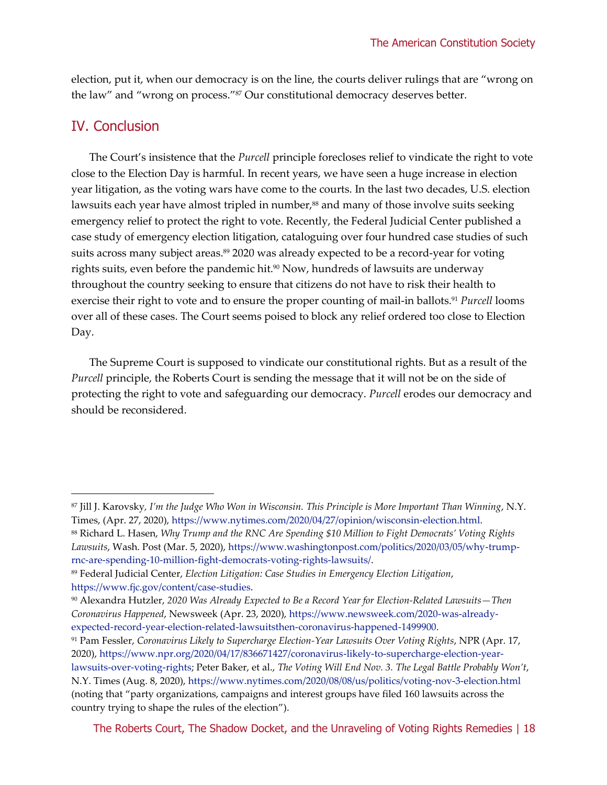election, put it, when our democracy is on the line, the courts deliver rulings that are "wrong on the law" and "wrong on process."<sup>87</sup> Our constitutional democracy deserves better.

#### IV. Conclusion

The Court's insistence that the *Purcell* principle forecloses relief to vindicate the right to vote close to the Election Day is harmful. In recent years, we have seen a huge increase in election year litigation, as the voting wars have come to the courts. In the last two decades, U.S. election lawsuits each year have almost tripled in number,<sup>88</sup> and many of those involve suits seeking emergency relief to protect the right to vote. Recently, the Federal Judicial Center published a case study of emergency election litigation, cataloguing over four hundred case studies of such suits across many subject areas.<sup>89</sup> 2020 was already expected to be a record-year for voting rights suits, even before the pandemic hit.<sup>90</sup> Now, hundreds of lawsuits are underway throughout the country seeking to ensure that citizens do not have to risk their health to exercise their right to vote and to ensure the proper counting of mail-in ballots. <sup>91</sup> *Purcell* looms over all of these cases. The Court seems poised to block any relief ordered too close to Election Day.

The Supreme Court is supposed to vindicate our constitutional rights. But as a result of the *Purcell* principle, the Roberts Court is sending the message that it will not be on the side of protecting the right to vote and safeguarding our democracy. *Purcell* erodes our democracy and should be reconsidered.

<sup>87</sup> Jill J. Karovsky*, I'm the Judge Who Won in Wisconsin. This Principle is More Important Than Winning*, N.Y. Times, (Apr. 27, 2020), [https://www.nytimes.com/2020/04/27/opinion/wisconsin-election.html.](https://www.nytimes.com/2020/04/27/opinion/wisconsin-election.html)

<sup>88</sup> Richard L. Hasen, *Why Trump and the RNC Are Spending \$10 Million to Fight Democrats' Voting Rights Lawsuits*, Wash. Post (Mar. 5, 2020), [https://www.washingtonpost.com/politics/2020/03/05/why-trump](https://www.washingtonpost.com/politics/2020/03/05/why-trump-rnc-are-spending-10-million-fight-democrats-voting-rights-lawsuits/)[rnc-are-spending-10-million-fight-democrats-voting-rights-lawsuits/.](https://www.washingtonpost.com/politics/2020/03/05/why-trump-rnc-are-spending-10-million-fight-democrats-voting-rights-lawsuits/) 

<sup>89</sup> Federal Judicial Center, *Election Litigation: Case Studies in Emergency Election Litigation*, [https://www.fjc.gov/content/case-studies.](https://www.fjc.gov/content/case-studies)

<sup>90</sup> Alexandra Hutzler, *2020 Was Already Expected to Be a Record Year for Election-Related Lawsuits—Then Coronavirus Happened*, Newsweek (Apr. 23, 2020)[, https://www.newsweek.com/2020-was-already](https://www.newsweek.com/2020-was-already-expected-record-year-election-related-lawsuitsthen-coronavirus-happened-1499900)[expected-record-year-election-related-lawsuitsthen-coronavirus-happened-1499900.](https://www.newsweek.com/2020-was-already-expected-record-year-election-related-lawsuitsthen-coronavirus-happened-1499900)

<sup>91</sup> Pam Fessler, *Coronavirus Likely to Supercharge Election-Year Lawsuits Over Voting Rights*, NPR (Apr. 17, 2020), [https://www.npr.org/2020/04/17/836671427/coronavirus-likely-to-supercharge-election-year](https://www.npr.org/2020/04/17/836671427/coronavirus-likely-to-supercharge-election-year-lawsuits-over-voting-rights)[lawsuits-over-voting-rights;](https://www.npr.org/2020/04/17/836671427/coronavirus-likely-to-supercharge-election-year-lawsuits-over-voting-rights) Peter Baker, et al., *The Voting Will End Nov. 3. The Legal Battle Probably Won't*, N.Y. Times (Aug. 8, 2020),<https://www.nytimes.com/2020/08/08/us/politics/voting-nov-3-election.html> (noting that "party organizations, campaigns and interest groups have filed 160 lawsuits across the country trying to shape the rules of the election").